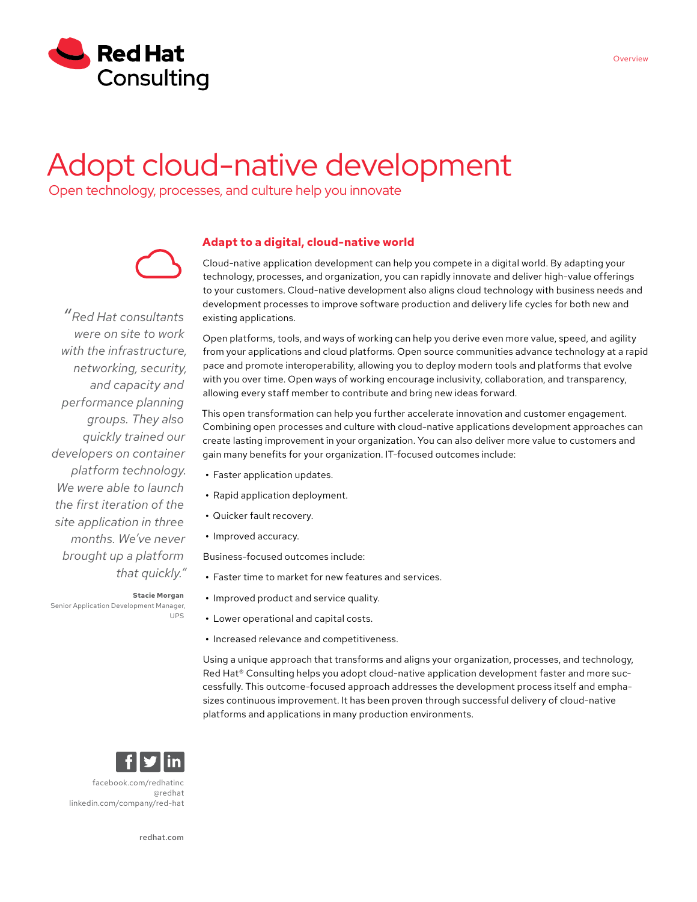

# Adopt cloud-native development

Open technology, processes, and culture help you innovate



*"Red Hat consultants were on site to work with the infrastructure, networking, security, and capacity and performance planning groups. They also quickly trained our developers on container platform technology. We were able to launch the first iteration of the site application in three months. We've never brought up a platform that quickly."*

Senior Application Development Manager,

**Adapt to a digital, cloud-native world**

Cloud-native application development can help you compete in a digital world. By adapting your technology, processes, and organization, you can rapidly innovate and deliver high-value offerings to your customers. Cloud-native development also aligns cloud technology with business needs and development processes to improve software production and delivery life cycles for both new and existing applications.

Open platforms, tools, and ways of working can help you derive even more value, speed, and agility from your applications and cloud platforms. Open source communities advance technology at a rapid pace and promote interoperability, allowing you to deploy modern tools and platforms that evolve with you over time. Open ways of working encourage inclusivity, collaboration, and transparency, allowing every staff member to contribute and bring new ideas forward.

This open transformation can help you further accelerate innovation and customer engagement. Combining open processes and culture with cloud-native applications development approaches can create lasting improvement in your organization. You can also deliver more value to customers and gain many benefits for your organization. IT-focused outcomes include:

- **•** Faster application updates.
- **•** Rapid application deployment.
- **•** Quicker fault recovery.
- **•** Improved accuracy.

Business-focused outcomes include:

- **•** Faster time to market for new features and services.
- **•** Improved product and service quality.
- **•** Lower operational and capital costs.
- **•** Increased relevance and competitiveness.

Using a unique approach that transforms and aligns your organization, processes, and technology, Red Hat<sup>®</sup> Consulting helps you adopt cloud-native application development faster and more successfully. This outcome-focused approach addresses the development process itself and emphasizes continuous improvement. It has been proven through successful delivery of cloud-native platforms and applications in many production environments.



**Stacie Morgan**

UPS

[facebook.com/redhatinc](http://facebook.com/redhatinc

) [@redhat](https://twitter.com/redhatnews) [linkedin.com/company/red-hat](http://linkedin.com/company/red-hat
)

[redhat.com](http://redhat.com)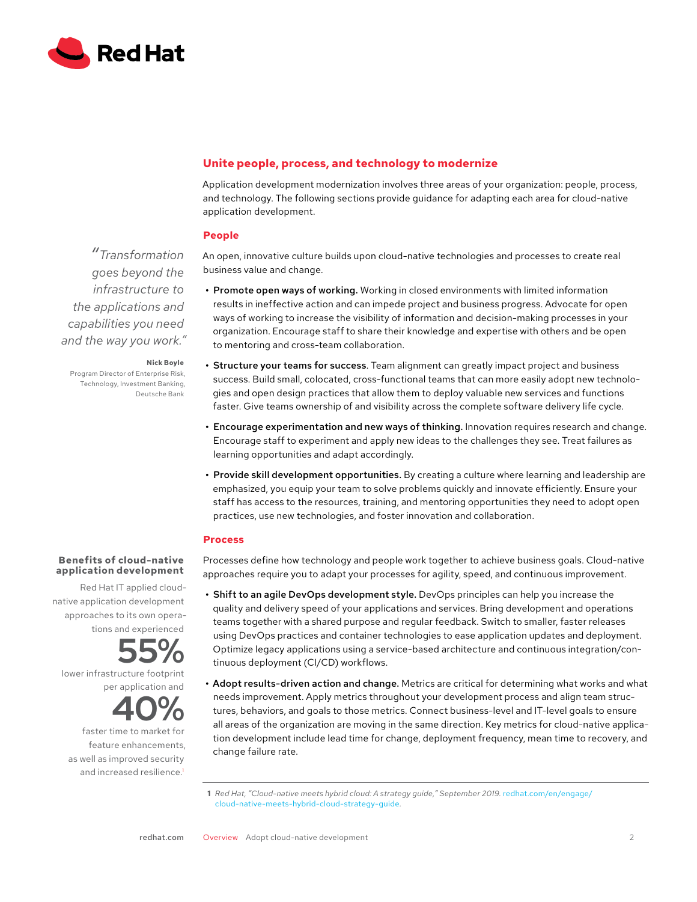

# **Unite people, process, and technology to modernize**

Application development modernization involves three areas of your organization: people, process, and technology. The following sections provide guidance for adapting each area for cloud-native application development.

## **People**

An open, innovative culture builds upon cloud-native technologies and processes to create real business value and change.

- **•** Promote open ways of working. Working in closed environments with limited information results in ineffective action and can impede project and business progress. Advocate for open ways of working to increase the visibility of information and decision-making processes in your organization. Encourage staff to share their knowledge and expertise with others and be open to mentoring and cross-team collaboration.
- **•** Structure your teams for success. Team alignment can greatly impact project and business success. Build small, colocated, cross-functional teams that can more easily adopt new technologies and open design practices that allow them to deploy valuable new services and functions faster. Give teams ownership of and visibility across the complete software delivery life cycle.
- **•** Encourage experimentation and new ways of thinking. Innovation requires research and change. Encourage staff to experiment and apply new ideas to the challenges they see. Treat failures as learning opportunities and adapt accordingly.
- **•** Provide skill development opportunities. By creating a culture where learning and leadership are emphasized, you equip your team to solve problems quickly and innovate efficiently. Ensure your staff has access to the resources, training, and mentoring opportunities they need to adopt open practices, use new technologies, and foster innovation and collaboration.

## **Process**

Processes define how technology and people work together to achieve business goals. Cloud-native approaches require you to adapt your processes for agility, speed, and continuous improvement.

- **•** Shift to an agile DevOps development style. DevOps principles can help you increase the quality and delivery speed of your applications and services. Bring development and operations teams together with a shared purpose and regular feedback. Switch to smaller, faster releases using DevOps practices and container technologies to ease application updates and deployment. Optimize legacy applications using a service-based architecture and continuous integration/continuous deployment (CI/CD) workflows.
- **•** Adopt results-driven action and change. Metrics are critical for determining what works and what needs improvement. Apply metrics throughout your development process and align team structures, behaviors, and goals to those metrics. Connect business-level and IT-level goals to ensure all areas of the organization are moving in the same direction. Key metrics for cloud-native application development include lead time for change, deployment frequency, mean time to recovery, and change failure rate.

*"Transformation goes beyond the infrastructure to the applications and capabilities you need and the way you work."*

#### **Nick Boyle**

Program Director of Enterprise Risk, Technology, Investment Banking, Deutsche Bank

# **Benefits of cloud-native application development**

Red Hat IT applied cloudnative application development approaches to its own operations and experienced

**55%**

lower infrastructure footprint per application and

**40%**

faster time to market for feature enhancements, as well as improved security and increased resilience.<sup>1</sup>

**<sup>1</sup>** *Red Hat, "Cloud-native meets hybrid cloud: A strategy guide," September 2019.* [redhat.com/en/engage/](https://www.redhat.com/en/engage/cloud-native-meets-hybrid-cloud-strategy-guide) [cloud-native-meets-hybrid-cloud-strategy-guide](https://www.redhat.com/en/engage/cloud-native-meets-hybrid-cloud-strategy-guide)*.*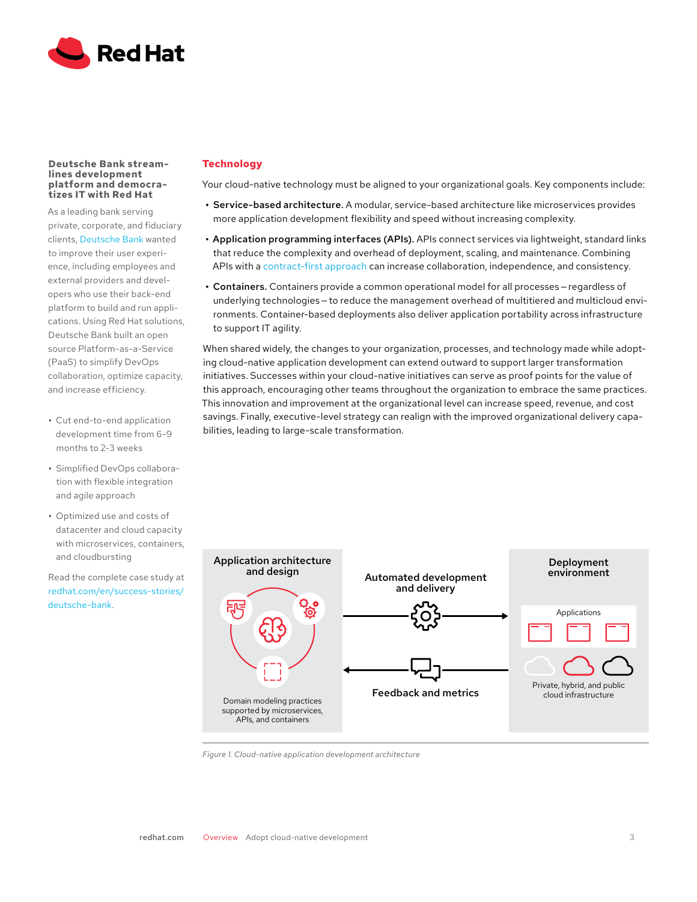

#### **Deutsche Bank streamlines development platform and democratizes IT with Red Hat**

As a leading bank serving private, corporate, and fiduciary clients, [Deutsche Bank](https://www.redhat.com/en/success-stories/deutsche-bank) wanted to improve their user experience, including employees and external providers and developers who use their back-end platform to build and run applications. Using Red Hat solutions, Deutsche Bank built an open source Platform-as-a-Service (PaaS) to simplify DevOps collaboration, optimize capacity, and increase efficiency.

- **•** Cut end-to-end application development time from 6-9 months to 2-3 weeks
- **•** Simplified DevOps collaboration with flexible integration and agile approach
- **•** Optimized use and costs of datacenter and cloud capacity with microservices, containers, and cloudbursting

Read the complete case study at [redhat.com/en/success-stories/](https://www.redhat.com/en/success-stories/deutsche-bank) [deutsche-bank](https://www.redhat.com/en/success-stories/deutsche-bank).

# **Technology**

Your cloud-native technology must be aligned to your organizational goals. Key components include:

- **•** Service-based architecture. A modular, service-based architecture like microservices provides more application development flexibility and speed without increasing complexity.
- **•** Application programming interfaces (APIs). APIs connect services via lightweight, standard links that reduce the complexity and overhead of deployment, scaling, and maintenance. Combining APIs with a [contract-first approach](https://openpracticelibrary.com/practice/contract-first-development/) can increase collaboration, independence, and consistency.
- **•** Containers. Containers provide a common operational model for all processes — regardless of underlying technologies — to reduce the management overhead of multitiered and multicloud environments. Container-based deployments also deliver application portability across infrastructure to support IT agility.

When shared widely, the changes to your organization, processes, and technology made while adopting cloud-native application development can extend outward to support larger transformation initiatives. Successes within your cloud-native initiatives can serve as proof points for the value of this approach, encouraging other teams throughout the organization to embrace the same practices. This innovation and improvement at the organizational level can increase speed, revenue, and cost savings. Finally, executive-level strategy can realign with the improved organizational delivery capabilities, leading to large-scale transformation.



*Figure 1. Cloud-native application development architecture*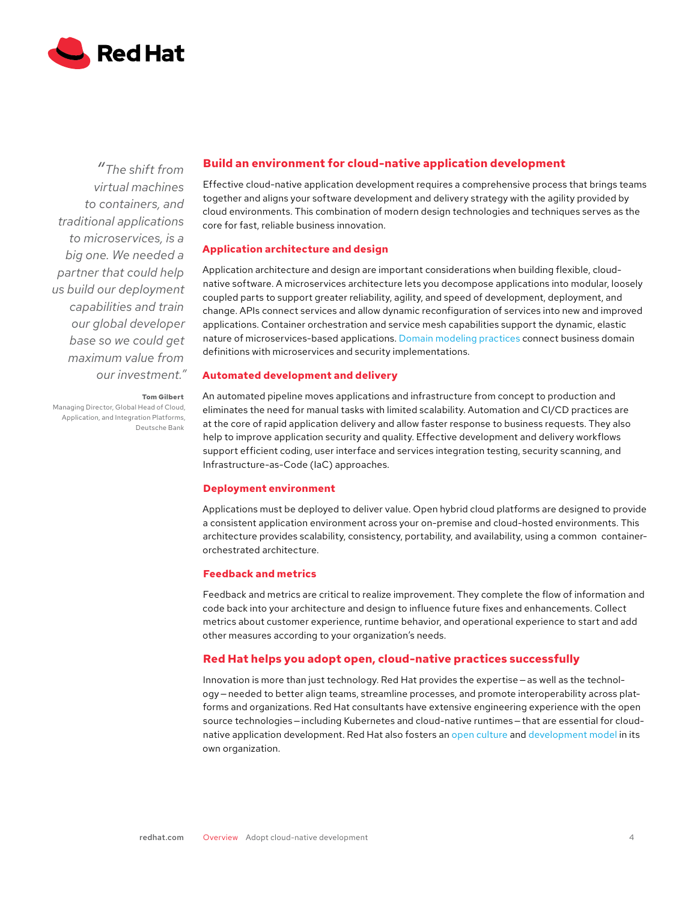

*"The shift from virtual machines to containers, and traditional applications to microservices, is a big one. We needed a partner that could help us build our deployment capabilities and train our global developer base so we could get maximum value from our investment."*

# **Build an environment for cloud-native application development**

Effective cloud-native application development requires a comprehensive process that brings teams together and aligns your software development and delivery strategy with the agility provided by cloud environments. This combination of modern design technologies and techniques serves as the core for fast, reliable business innovation.

# **Application architecture and design**

Application architecture and design are important considerations when building flexible, cloudnative software. A microservices architecture lets you decompose applications into modular, loosely coupled parts to support greater reliability, agility, and speed of development, deployment, and change. APIs connect services and allow dynamic reconfiguration of services into new and improved applications. Container orchestration and service mesh capabilities support the dynamic, elastic nature of microservices-based applications. [Domain modeling practices](https://openpracticelibrary.com/perspective/domain-driven-design/) connect business domain definitions with microservices and security implementations.

# **Automated development and delivery**

**Tom Gilbert**

Managing Director, Global Head of Cloud, Application, and Integration Platforms, Deutsche Bank

An automated pipeline moves applications and infrastructure from concept to production and eliminates the need for manual tasks with limited scalability. Automation and CI/CD practices are at the core of rapid application delivery and allow faster response to business requests. They also help to improve application security and quality. Effective development and delivery workflows support efficient coding, user interface and services integration testing, security scanning, and Infrastructure-as-Code (IaC) approaches.

# **Deployment environment**

Applications must be deployed to deliver value. Open hybrid cloud platforms are designed to provide a consistent application environment across your on-premise and cloud-hosted environments. This architecture provides scalability, consistency, portability, and availability, using a common containerorchestrated architecture.

# **Feedback and metrics**

Feedback and metrics are critical to realize improvement. They complete the flow of information and code back into your architecture and design to influence future fixes and enhancements. Collect metrics about customer experience, runtime behavior, and operational experience to start and add other measures according to your organization's needs.

# **Red Hat helps you adopt open, cloud-native practices successfully**

Innovation is more than just technology. Red Hat provides the expertise – as well as the technology — needed to better align teams, streamline processes, and promote interoperability across platforms and organizations. Red Hat consultants have extensive engineering experience with the open source technologies – including Kubernetes and cloud-native runtimes – that are essential for cloudnative application development. Red Hat also fosters an [open culture](https://www.redhat.com/en/about/our-culture) and [development model](https://www.redhat.com/en/about/development-model) in its own organization.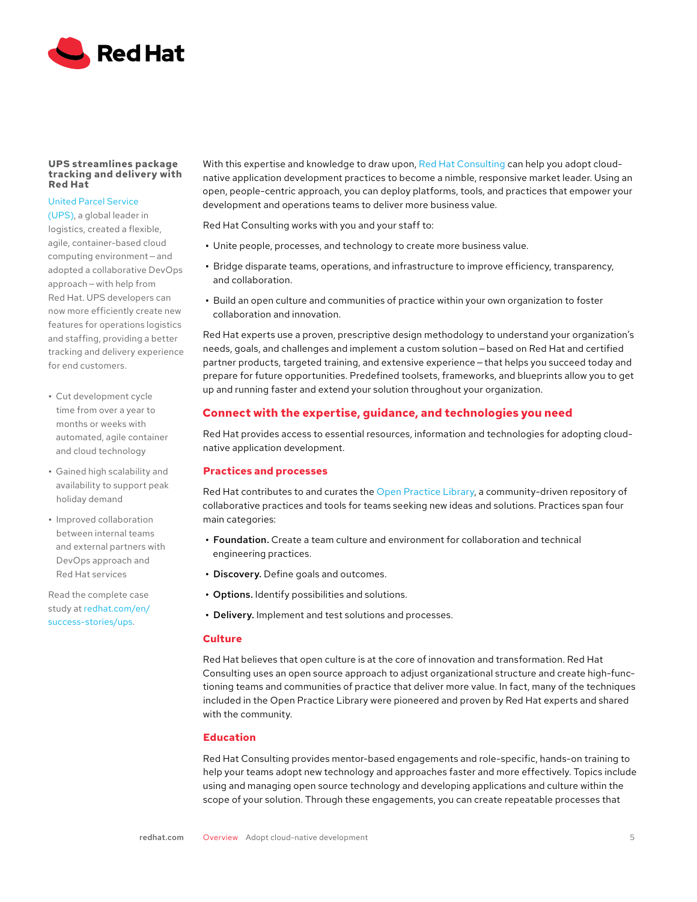

#### **UPS streamlines package tracking and delivery with Red Hat**

# [United Parcel Service](https://www.redhat.com/en/success-stories/ups)

[\(UPS\)](https://www.redhat.com/en/success-stories/ups), a global leader in logistics, created a flexible, agile, container-based cloud computing environment-and adopted a collaborative DevOps approach — with help from Red Hat. UPS developers can now more efficiently create new features for operations logistics and staffing, providing a better tracking and delivery experience for end customers.

- **•** Cut development cycle time from over a year to months or weeks with automated, agile container and cloud technology
- **•** Gained high scalability and availability to support peak holiday demand
- **•** Improved collaboration between internal teams and external partners with DevOps approach and Red Hat services

Read the complete case study at [redhat.com/en/](https://www.redhat.com/en/success-stories/ups) [success-stories/ups.](https://www.redhat.com/en/success-stories/ups)

With this expertise and knowledge to draw upon, [Red Hat Consulting](https://www.redhat.com/en/services/consulting) can help you adopt cloudnative application development practices to become a nimble, responsive market leader. Using an open, people-centric approach, you can deploy platforms, tools, and practices that empower your development and operations teams to deliver more business value.

Red Hat Consulting works with you and your staff to:

- **•** Unite people, processes, and technology to create more business value.
- **•** Bridge disparate teams, operations, and infrastructure to improve efficiency, transparency, and collaboration.
- **•** Build an open culture and communities of practice within your own organization to foster collaboration and innovation.

Red Hat experts use a proven, prescriptive design methodology to understand your organization's needs, goals, and challenges and implement a custom solution — based on Red Hat and certified partner products, targeted training, and extensive experience — that helps you succeed today and prepare for future opportunities. Predefined toolsets, frameworks, and blueprints allow you to get up and running faster and extend your solution throughout your organization.

# **Connect with the expertise, guidance, and technologies you need**

Red Hat provides access to essential resources, information and technologies for adopting cloudnative application development.

# **Practices and processes**

Red Hat contributes to and curates the [Open Practice Library,](https://openpracticelibrary.com/) a community-driven repository of collaborative practices and tools for teams seeking new ideas and solutions. Practices span four main categories:

- **•** Foundation. Create a team culture and environment for collaboration and technical engineering practices.
- **•** Discovery. Define goals and outcomes.
- **•** Options. Identify possibilities and solutions.
- **•** Delivery. Implement and test solutions and processes.

## **Culture**

Red Hat believes that open culture is at the core of innovation and transformation. Red Hat Consulting uses an open source approach to adjust organizational structure and create high-functioning teams and communities of practice that deliver more value. In fact, many of the techniques included in the Open Practice Library were pioneered and proven by Red Hat experts and shared with the community.

## **Education**

Red Hat Consulting provides mentor-based engagements and role-specific, hands-on training to help your teams adopt new technology and approaches faster and more effectively. Topics include using and managing open source technology and developing applications and culture within the scope of your solution. Through these engagements, you can create repeatable processes that